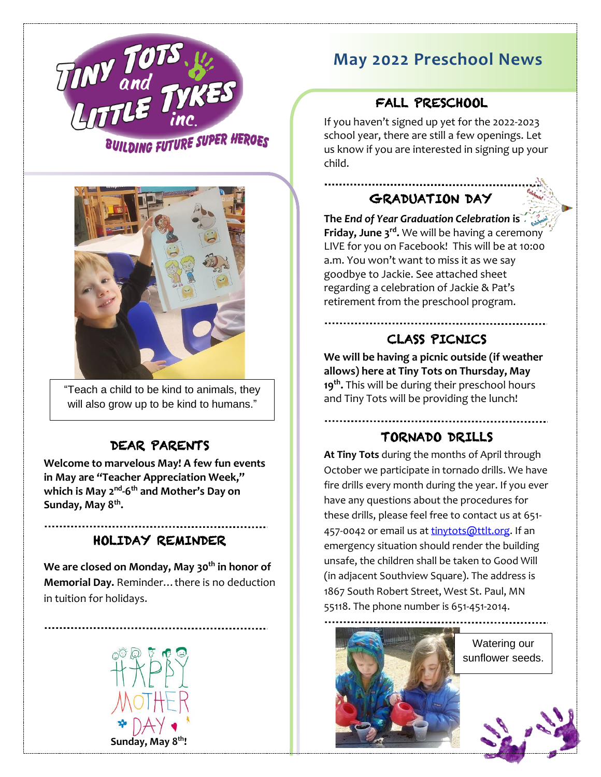

# **May 2022 Preschool News**

## FALL PRESCHOOL

If you haven't signed up yet for the 2022-2023 school year, there are still a few openings. Let us know if you are interested in signing up your child.

## GRADUATION DAY

**The** *End of Year Graduation Celebration* **is Friday, June 3<sup>rd</sup>.** We will be having a ceremony LIVE for you on Facebook! This will be at 10:00 a.m. You won't want to miss it as we say goodbye to Jackie. See attached sheet regarding a celebration of Jackie & Pat's retirement from the preschool program.

## CLASS PICNICS

**We will be having a picnic outside (if weather allows) here at Tiny Tots on Thursday, May 19 th .** This will be during their preschool hours and Tiny Tots will be providing the lunch!

#### TORNADO DRILLS

**At Tiny Tots** during the months of April through October we participate in tornado drills. We have fire drills every month during the year. If you ever have any questions about the procedures for these drills, please feel free to contact us at 651 457-0042 or email us a[t tinytots@ttlt.org.](mailto:tinytots@ttlt.org) If an emergency situation should render the building unsafe, the children shall be taken to Good Will (in adjacent Southview Square). The address is 1867 South Robert Street, West St. Paul, MN 55118. The phone number is 651-451-2014.



BUILDING FUTURE SUPER HEROES



"Teach a child to be kind to animals, they will also grow up to be kind to humans."

#### DEAR PARENTS

Ξ

**Welcome to marvelous May! A few fun events in May are "Teacher Appreciation Week,"** which is May 2<sup>nd</sup>-6<sup>th</sup> and Mother's Day on **Sunday, May 8 th .** 

#### HOLIDAY REMINDER

**We are closed on Monday, May 30 th in honor of Memorial Day.** Reminder…there is no deduction in tuition for holidays.